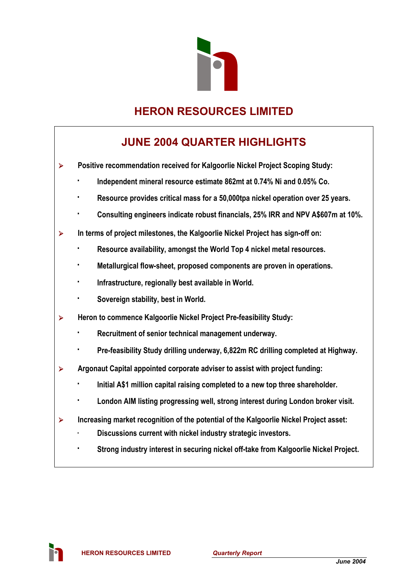

# **HERON RESOURCES LIMITED**

# **JUNE 2004 QUARTER HIGHLIGHTS**

¾ **Positive recommendation received for Kalgoorlie Nickel Project Scoping Study:** 

- **· Independent mineral resource estimate 862mt at 0.74% Ni and 0.05% Co.**
- **· Resource provides critical mass for a 50,000tpa nickel operation over 25 years.**
- **· Consulting engineers indicate robust financials, 25% IRR and NPV A\$607m at 10%.**
- ¾ **In terms of project milestones, the Kalgoorlie Nickel Project has sign-off on:** 
	- **· Resource availability, amongst the World Top 4 nickel metal resources.**
	- **· Metallurgical flow-sheet, proposed components are proven in operations.**
	- Infrastructure, regionally best available in World.
	- **· Sovereign stability, best in World.**
- ¾ **Heron to commence Kalgoorlie Nickel Project Pre-feasibility Study:** 
	- **Recruitment of senior technical management underway.**
	- Pre-feasibility Study drilling underway, 6,822m RC drilling completed at Highway.
- ¾ **Argonaut Capital appointed corporate adviser to assist with project funding:** 
	- **· Initial A\$1 million capital raising completed to a new top three shareholder.**
	- London AIM listing progressing well, strong interest during London broker visit.
- ¾ **Increasing market recognition of the potential of the Kalgoorlie Nickel Project asset:** 
	- **· Discussions current with nickel industry strategic investors.**
	- **· Strong industry interest in securing nickel off-take from Kalgoorlie Nickel Project.**

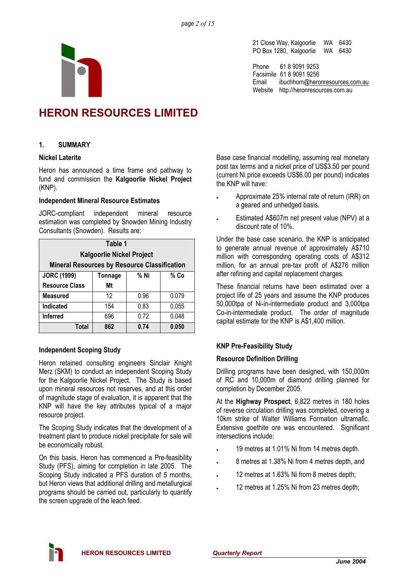21 Close Way, Kalgoorlie WA 6430 PO Box 1280, Kalgoorlie WA 6430

Phone 61 8 9091 9253 Facsimile 61 8 9091 9256 Email ibuchhorn@heronresources.com.au Website http://heronresources.com.au

# **HERON RESOURCES LIMITED**

# **1. SUMMARY**

# **Nickel Laterite**

Heron has announced a time frame and pathway to fund and commission the **Kalgoorlie Nickel Project** (KNP).

### **Independent Mineral Resource Estimates**

JORC-compliant independent mineral resource estimation was completed by Snowden Mining Industry Consultants (Snowden). Results are:

| Table 1                                             |                |      |       |  |  |  |
|-----------------------------------------------------|----------------|------|-------|--|--|--|
| <b>Kalgoorlie Nickel Project</b>                    |                |      |       |  |  |  |
| <b>Mineral Resources by Resource Classification</b> |                |      |       |  |  |  |
| <b>JORC (1999)</b>                                  | <b>Tonnage</b> | % Ni | % Co  |  |  |  |
| <b>Resource Class</b>                               | Mt             |      |       |  |  |  |
| <b>Measured</b>                                     | 12             | 0.96 | 0.079 |  |  |  |
| Indicated                                           | 154            | 0.83 | 0.055 |  |  |  |
| Inferred                                            | 696            | 0.72 | 0.048 |  |  |  |
| 0.74<br>0.050<br>Total<br>862                       |                |      |       |  |  |  |

# **Independent Scoping Study**

Heron retained consulting engineers Sinclair Knight Merz (SKM) to conduct an independent Scoping Study for the Kalgoorlie Nickel Project. The Study is based upon mineral resources not reserves, and at this order of magnitude stage of evaluation, it is apparent that the KNP will have the key attributes typical of a major resource project.

The Scoping Study indicates that the development of a treatment plant to produce nickel precipitate for sale will be economically robust.

On this basis, Heron has commenced a Pre-feasibility Study (PFS), aiming for completion in late 2005. The Scoping Study indicated a PFS duration of 5 months, but Heron views that additional drilling and metallurgical programs should be carried out, particularly to quantify the screen upgrade of the leach feed.

Base case financial modelling, assuming real monetary post tax terms and a nickel price of US\$3.50 per pound (current Ni price exceeds US\$6.00 per pound) indicates the KNP will have:

- Approximate 25% internal rate of return (IRR) on a geared and unhedged basis.
- Estimated A\$607m net present value (NPV) at a discount rate of 10%.

Under the base case scenario, the KNP is anticipated to generate annual revenue of approximately A\$710 million with corresponding operating costs of A\$312 million, for an annual pre-tax profit of A\$276 million after refining and capital replacement charges.

These financial returns have been estimated over a project life of 25 years and assume the KNP produces 50,000tpa of Ni-in-intermediate product and 3,000tpa Co-in-intermediate product. The order of magnitude capital estimate for the KNP is A\$1,400 million.

# **KNP Pre-Feasibility Study**

# **Resource Definition Drilling**

Drilling programs have been designed, with 150,000m of RC and 10,000m of diamond drilling planned for completion by December 2005.

At the **Highway Prospect**, 6,822 metres in 180 holes of reverse circulation drilling was completed, covering a 10km strike of Walter Williams Formation ultramafic. Extensive goethite ore was encountered. Significant intersections include:

- 19 metres at 1.01% Ni from 14 metres depth.
- 8 metres at 1.38% Ni from 4 metres depth, and
- 12 metres at 1.63% Ni from 8 metres depth;
- 12 metres at 1.25% Ni from 23 metres depth;

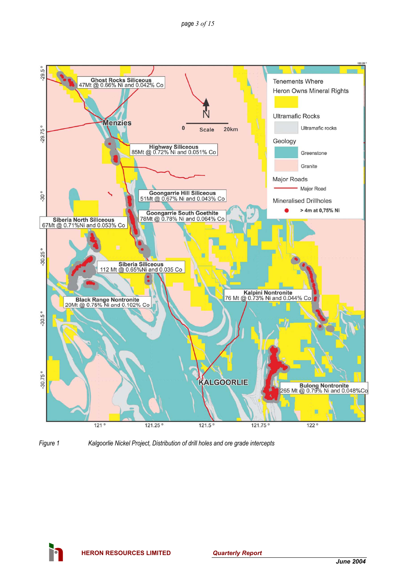

*Figure 1 Kalgoorlie Nickel Project, Distribution of drill holes and ore grade intercepts* 

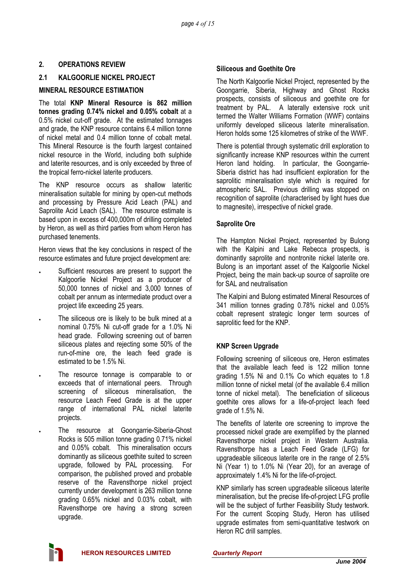# **2. OPERATIONS REVIEW**

# **2.1 KALGOORLIE NICKEL PROJECT**

# **MINERAL RESOURCE ESTIMATION**

The total **KNP Mineral Resource is 862 million tonnes grading 0.74% nickel and 0.05% cobalt** at a 0.5% nickel cut-off grade. At the estimated tonnages and grade, the KNP resource contains 6.4 million tonne of nickel metal and 0.4 million tonne of cobalt metal. This Mineral Resource is the fourth largest contained nickel resource in the World, including both sulphide and laterite resources, and is only exceeded by three of the tropical ferro-nickel laterite producers.

The KNP resource occurs as shallow lateritic mineralisation suitable for mining by open-cut methods and processing by Pressure Acid Leach (PAL) and Saprolite Acid Leach (SAL). The resource estimate is based upon in excess of 400,000m of drilling completed by Heron, as well as third parties from whom Heron has purchased tenements.

Heron views that the key conclusions in respect of the resource estimates and future project development are:

- Sufficient resources are present to support the Kalgoorlie Nickel Project as a producer of 50,000 tonnes of nickel and 3,000 tonnes of cobalt per annum as intermediate product over a project life exceeding 25 years.
- The siliceous ore is likely to be bulk mined at a nominal 0.75% Ni cut-off grade for a 1.0% Ni head grade. Following screening out of barren siliceous plates and rejecting some 50% of the run-of-mine ore, the leach feed grade is estimated to be 1.5% Ni.
- The resource tonnage is comparable to or exceeds that of international peers. Through screening of siliceous mineralisation, the resource Leach Feed Grade is at the upper range of international PAL nickel laterite projects.
- The resource at Goongarrie-Siberia-Ghost Rocks is 505 million tonne grading 0.71% nickel and 0.05% cobalt. This mineralisation occurs dominantly as siliceous goethite suited to screen upgrade, followed by PAL processing. For comparison, the published proved and probable reserve of the Ravensthorpe nickel project currently under development is 263 million tonne grading 0.65% nickel and 0.03% cobalt, with Ravensthorpe ore having a strong screen upgrade.

## **Siliceous and Goethite Ore**

The North Kalgoorlie Nickel Project, represented by the Goongarrie, Siberia, Highway and Ghost Rocks prospects, consists of siliceous and goethite ore for treatment by PAL. A laterally extensive rock unit termed the Walter Williams Formation (WWF) contains uniformly developed siliceous laterite mineralisation. Heron holds some 125 kilometres of strike of the WWF.

There is potential through systematic drill exploration to significantly increase KNP resources within the current Heron land holding. In particular, the Goongarrie-Siberia district has had insufficient exploration for the saprolitic mineralisation style which is required for atmospheric SAL. Previous drilling was stopped on recognition of saprolite (characterised by light hues due to magnesite), irrespective of nickel grade.

# **Saprolite Ore**

The Hampton Nickel Project, represented by Bulong with the Kalpini and Lake Rebecca prospects, is dominantly saprolite and nontronite nickel laterite ore. Bulong is an important asset of the Kalgoorlie Nickel Project, being the main back-up source of saprolite ore for SAL and neutralisation

The Kalpini and Bulong estimated Mineral Resources of 341 million tonnes grading 0.78% nickel and 0.05% cobalt represent strategic longer term sources of saprolitic feed for the KNP.

# **KNP Screen Upgrade**

Following screening of siliceous ore, Heron estimates that the available leach feed is 122 million tonne grading 1.5% Ni and 0.1% Co which equates to 1.8 million tonne of nickel metal (of the available 6.4 million tonne of nickel metal). The beneficiation of siliceous goethite ores allows for a life-of-project leach feed grade of 1.5% Ni.

The benefits of laterite ore screening to improve the processed nickel grade are exemplified by the planned Ravensthorpe nickel project in Western Australia. Ravensthorpe has a Leach Feed Grade (LFG) for upgradeable siliceous laterite ore in the range of 2.5% Ni (Year 1) to 1.0% Ni (Year 20), for an average of approximately 1.4% Ni for the life-of-project.

KNP similarly has screen upgradeable siliceous laterite mineralisation, but the precise life-of-project LFG profile will be the subject of further Feasibility Study testwork. For the current Scoping Study, Heron has utilised upgrade estimates from semi-quantitative testwork on Heron RC drill samples.

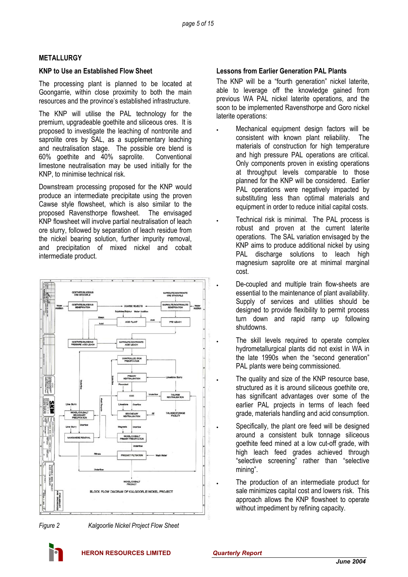## **METALLURGY**

#### **KNP to Use an Established Flow Sheet**

The processing plant is planned to be located at Goongarrie, within close proximity to both the main resources and the province's established infrastructure.

The KNP will utilise the PAL technology for the premium, upgradeable goethite and siliceous ores. It is proposed to investigate the leaching of nontronite and saprolite ores by SAL, as a supplementary leaching and neutralisation stage. The possible ore blend is 60% goethite and 40% saprolite. Conventional limestone neutralisation may be used initially for the KNP, to minimise technical risk.

Downstream processing proposed for the KNP would produce an intermediate precipitate using the proven Cawse style flowsheet, which is also similar to the proposed Ravensthorpe flowsheet. The envisaged KNP flowsheet will involve partial neutralisation of leach ore slurry, followed by separation of leach residue from the nickel bearing solution, further impurity removal, and precipitation of mixed nickel and cobalt intermediate product.





*Figure 2 Kalgoorlie Nickel Project Flow Sheet* 

## **Lessons from Earlier Generation PAL Plants**

The KNP will be a "fourth generation" nickel laterite, able to leverage off the knowledge gained from previous WA PAL nickel laterite operations, and the soon to be implemented Ravensthorpe and Goro nickel laterite operations:

- Mechanical equipment design factors will be consistent with known plant reliability. The materials of construction for high temperature and high pressure PAL operations are critical. Only components proven in existing operations at throughput levels comparable to those planned for the KNP will be considered. Earlier PAL operations were negatively impacted by substituting less than optimal materials and equipment in order to reduce initial capital costs.
- Technical risk is minimal. The PAL process is robust and proven at the current laterite operations. The SAL variation envisaged by the KNP aims to produce additional nickel by using PAL discharge solutions to leach high magnesium saprolite ore at minimal marginal cost.
	- De-coupled and multiple train flow-sheets are essential to the maintenance of plant availability. Supply of services and utilities should be designed to provide flexibility to permit process turn down and rapid ramp up following shutdowns.
	- The skill levels required to operate complex hydrometallurgical plants did not exist in WA in the late 1990s when the "second generation" PAL plants were being commissioned.
- The quality and size of the KNP resource base. structured as it is around siliceous goethite ore, has significant advantages over some of the earlier PAL projects in terms of leach feed grade, materials handling and acid consumption.
	- Specifically, the plant ore feed will be designed around a consistent bulk tonnage siliceous goethite feed mined at a low cut-off grade, with high leach feed grades achieved through "selective screening" rather than "selective mining".
		- The production of an intermediate product for sale minimizes capital cost and lowers risk. This approach allows the KNP flowsheet to operate without impediment by refining capacity.

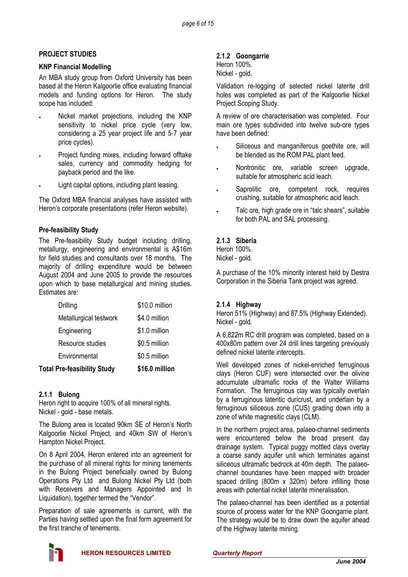# **PROJECT STUDIES**

## **KNP Financial Modelling**

An MBA study group from Oxford University has been based at the Heron Kalgoorlie office evaluating financial models and funding options for Heron. The study scope has included:

- Nickel market projections, including the KNP sensitivity to nickel price cycle (very low, considering a 25 year project life and 5-7 year price cycles).
- Project funding mixes, including forward offtake sales, currency and commodity hedging for payback period and the like.
- Light capital options, including plant leasing.

The Oxford MBA financial analyses have assisted with Heron's corporate presentations (refer Heron website).

# **Pre-feasibility Study**

The Pre-feasibility Study budget including drilling, metallurgy, engineering and environmental is A\$16m for field studies and consultants over 18 months. The majority of drilling expenditure would be between August 2004 and June 2005 to provide the resources upon which to base metallurgical and mining studies. Estimates are:

| <b>Total Pre-feasibility Study</b> | \$16.0 million |
|------------------------------------|----------------|
| Environmental                      | \$0.5 million  |
| Resource studies                   | \$0.5 million  |
| Engineering                        | \$1.0 million  |
| Metallurgical testwork             | \$4.0 million  |
| Drilling                           | \$10.0 million |

# **2.1.1 Bulong**

Heron right to acquire 100% of all mineral rights. Nickel - gold - base metals.

The Bulong area is located 90km SE of Heron's North Kalgoorlie Nickel Project, and 40km SW of Heron's Hampton Nickel Project.

On 8 April 2004, Heron entered into an agreement for the purchase of all mineral rights for mining tenements in the Bulong Project beneficially owned by Bulong Operations Pty Ltd and Bulong Nickel Pty Ltd (both with Receivers and Managers Appointed and In Liquidation), together termed the "Vendor".

Preparation of sale agreements is current, with the Parties having settled upon the final form agreement for the first tranche of tenements.

# **2.1.2 Goongarrie**

|                | Heron 100%. |
|----------------|-------------|
| Nickel - gold. |             |

Validation re-logging of selected nickel laterite drill holes was completed as part of the Kalgoorlie Nickel Project Scoping Study.

A review of ore characterisation was completed. Four main ore types subdivided into twelve sub-ore types have been defined:

- Siliceous and manganiferous goethite ore, will be blended as the ROM PAL plant feed.
- Nontronitic ore, variable screen upgrade, suitable for atmospheric acid leach.
- Saprolitic ore, competent rock, requires crushing, suitable for atmospheric acid leach.
- Talc ore, high grade ore in "talc shears", suitable for both PAL and SAL processing.

# **2.1.3 Siberia**

Heron 100%. Nickel - gold.

A purchase of the 10% minority interest held by Destra Corporation in the Siberia Tank project was agreed.

# **2.1.4 Highway**

Heron 51% (Highway) and 87.5% (Highway Extended). Nickel - gold.

A 6,822m RC drill program was completed, based on a 400x80m pattern over 24 drill lines targeting previously defined nickel laterite intercepts.

Well developed zones of nickel-enriched ferruginous clays (Heron CUF) were intersected over the olivine adcumulate ultramafic rocks of the Walter Williams Formation. The ferruginous clay was typically overlain by a ferruginous lateritic duricrust, and underlain by a ferruginous siliceous zone (CUS) grading down into a zone of white magnesitic clays (CLM).

In the northern project area, palaeo-channel sediments were encountered below the broad present day drainage system. Typical puggy mottled clays overlay a coarse sandy aquifer unit which terminates against siliceous ultramafic bedrock at 40m depth. The palaeochannel boundaries have been mapped with broader spaced drilling (800m x 320m) before infilling those areas with potential nickel laterite mineralisation.

The palaeo-channel has been identified as a potential source of process water for the KNP Goongarrie plant. The strategy would be to draw down the aquifer ahead of the Highway laterite mining.

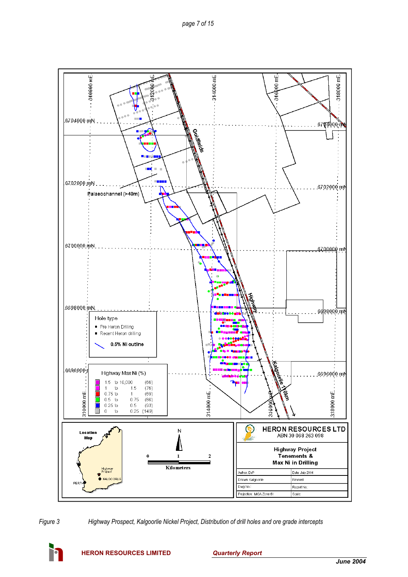



*Figure 3 Highway Prospect, Kalgoorlie Nickel Project, Distribution of drill holes and ore grade intercepts*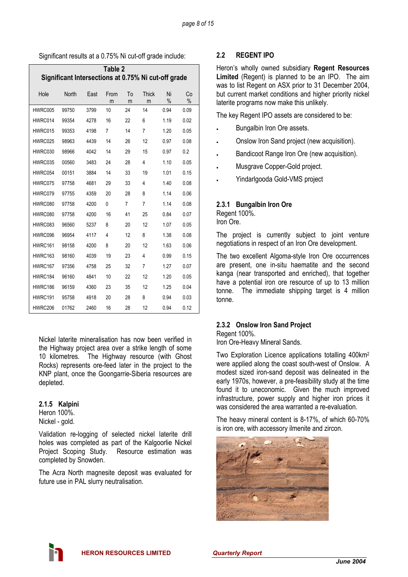Significant results at a 0.75% Ni cut-off grade include:

| Table 2                                             |              |      |           |         |            |            |            |
|-----------------------------------------------------|--------------|------|-----------|---------|------------|------------|------------|
| Significant Intersections at 0.75% Ni cut-off grade |              |      |           |         |            |            |            |
| Hole                                                | <b>North</b> | East | From<br>m | To<br>m | Thick<br>m | Ni<br>$\%$ | Co<br>$\%$ |
| HWRC005                                             | 99750        | 3799 | 10        | 24      | 14         | 0.94       | 0.09       |
| HWRC014                                             | 99354        | 4278 | 16        | 22      | 6          | 1.19       | 0.02       |
| HWRC015                                             | 99353        | 4198 | 7         | 14      | 7          | 1.20       | 0.05       |
| HWRC025                                             | 98963        | 4439 | 14        | 26      | 12         | 0.97       | 0.08       |
| HWRC030                                             | 98966        | 4042 | 14        | 29      | 15         | 0.97       | 0.2        |
| HWRC035                                             | 00560        | 3483 | 24        | 28      | 4          | 1.10       | 0.05       |
| HWRC054                                             | 00151        | 3884 | 14        | 33      | 19         | 1.01       | 0.15       |
| HWRC075                                             | 97758        | 4681 | 29        | 33      | 4          | 1.40       | 0.08       |
| HWRC079                                             | 97755        | 4359 | 20        | 28      | 8          | 1.14       | 0.06       |
| HWRC080                                             | 97758        | 4200 | 0         | 7       | 7          | 1.14       | 0.08       |
| HWRC080                                             | 97758        | 4200 | 16        | 41      | 25         | 0.84       | 0.07       |
| HWRC083                                             | 96560        | 5237 | 8         | 20      | 12         | 1.07       | 0.05       |
| HWRC096                                             | 96954        | 4117 | 4         | 12      | 8          | 1.38       | 0.08       |
| HWRC161                                             | 98158        | 4200 | 8         | 20      | 12         | 1.63       | 0.06       |
| HWRC163                                             | 98160        | 4039 | 19        | 23      | 4          | 0.99       | 0.15       |
| HWRC167                                             | 97356        | 4758 | 25        | 32      | 7          | 1.27       | 0.07       |
| HWRC184                                             | 96160        | 4841 | 10        | 22      | 12         | 1.20       | 0.05       |
| HWRC186                                             | 96159        | 4360 | 23        | 35      | 12         | 1.25       | 0.04       |
| HWRC191                                             | 95758        | 4918 | 20        | 28      | 8          | 0.94       | 0.03       |
| HWRC206                                             | 01762        | 2460 | 16        | 28      | 12         | 0.94       | 0.12       |

Nickel laterite mineralisation has now been verified in the Highway project area over a strike length of some 10 kilometres. The Highway resource (with Ghost Rocks) represents ore-feed later in the project to the KNP plant, once the Goongarrie-Siberia resources are depleted.

# **2.1.5 Kalpini**

Heron 100%. Nickel - gold.

Validation re-logging of selected nickel laterite drill holes was completed as part of the Kalgoorlie Nickel Project Scoping Study. Resource estimation was completed by Snowden.

The Acra North magnesite deposit was evaluated for future use in PAL slurry neutralisation.

# **2.2 REGENT IPO**

Heron's wholly owned subsidiary **Regent Resources Limited** (Regent) is planned to be an IPO. The aim was to list Regent on ASX prior to 31 December 2004, but current market conditions and higher priority nickel laterite programs now make this unlikely.

The key Regent IPO assets are considered to be:

- Bungalbin Iron Ore assets.
- Onslow Iron Sand project (new acquisition).
- Bandicoot Range Iron Ore (new acquisition).
- Musgrave Copper-Gold project.
- Yindarlgooda Gold-VMS project

# **2.3.1 Bungalbin Iron Ore**

Regent 100%. Iron Ore.

The project is currently subject to joint venture negotiations in respect of an Iron Ore development.

The two excellent Algoma-style Iron Ore occurrences are present, one in-situ haematite and the second kanga (near transported and enriched), that together have a potential iron ore resource of up to 13 million tonne. The immediate shipping target is 4 million tonne.

# **2.3.2 Onslow Iron Sand Project**

Regent 100%.

Iron Ore-Heavy Mineral Sands.

Two Exploration Licence applications totalling 400km2 were applied along the coast south-west of Onslow. A modest sized iron-sand deposit was delineated in the early 1970s, however, a pre-feasibility study at the time found it to uneconomic. Given the much improved infrastructure, power supply and higher iron prices it was considered the area warranted a re-evaluation.

The heavy mineral content is 8-17%, of which 60-70% is iron ore, with accessory ilmenite and zircon.

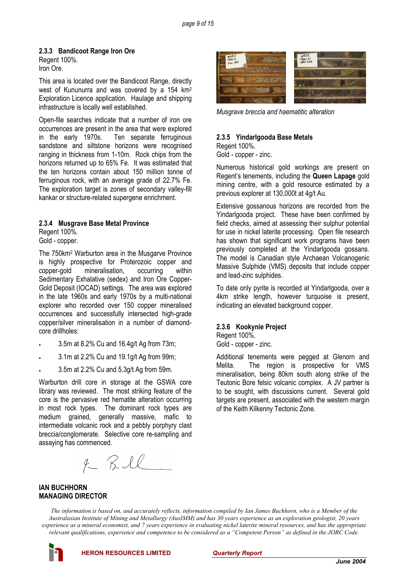### **2.3.3 Bandicoot Range Iron Ore**

Regent 100%. Iron Ore.

This area is located over the Bandicoot Range, directly west of Kununurra and was covered by a 154 km2 Exploration Licence application. Haulage and shipping infrastructure is locally well established.

Open-file searches indicate that a number of iron ore occurrences are present in the area that were explored in the early 1970s. Ten separate ferruginous sandstone and siltstone horizons were recognised ranging in thickness from 1-10m. Rock chips from the horizons returned up to 65% Fe. It was estimated that the ten horizons contain about 150 million tonne of ferruginous rock, with an average grade of 22.7% Fe. The exploration target is zones of secondary valley-fill kankar or structure-related supergene enrichment.

# **2.3.4 Musgrave Base Metal Province**

Regent 100%. Gold - copper.

The 750km2 Warburton area in the Musgarve Province is highly prospective for Proterozoic copper and copper-gold mineralisation, occurring within Sedimentary Exhalative (sedex) and Iron Ore Copper-Gold Deposit (IOCAD) settings. The area was explored in the late 1960s and early 1970s by a multi-national explorer who recorded over 150 copper mineralised occurrences and successfully intersected high-grade copper/silver mineralisation in a number of diamondcore drillholes:

- 3.5m at 8.2% Cu and 16.4g/t Ag from 73m;
- 3.1m at 2.2% Cu and 19.1g/t Ag from 99m;
- 3.5m at 2.2% Cu and 5.3g/t Ag from 59m.

Warburton drill core in storage at the GSWA core library was reviewed. The most striking feature of the core is the pervasive red hematite alteration occurring in most rock types. The dominant rock types are medium grained, generally massive, mafic to intermediate volcanic rock and a pebbly porphyry clast breccia/conglomerate. Selective core re-sampling and assaying has commenced.

 $4 - RIL$ 



*Musgrave breccia and haematitic alteration* 

### **2.3.5 Yindarlgooda Base Metals**

Regent 100%. Gold - copper - zinc.

Numerous historical gold workings are present on Regent's tenements, including the **Queen Lapage** gold mining centre, with a gold resource estimated by a previous explorer at 130,000t at 4g/t Au.

Extensive gossanous horizons are recorded from the Yindarlgooda project. These have been confirmed by field checks, aimed at assessing their sulphur potential for use in nickel laterite processing. Open file research has shown that significant work programs have been previously completed at the Yindarlgooda gossans. The model is Canadian style Archaean Volcanogenic Massive Sulphide (VMS) deposits that include copper and lead-zinc sulphides.

To date only pyrite is recorded at Yindarlgooda, over a 4km strike length, however turquoise is present, indicating an elevated background copper.

#### **2.3.6 Kookynie Project**

Regent 100%.

Gold - copper - zinc.

Additional tenements were pegged at Glenorn and Melita. The region is prospective for VMS mineralisation, being 80km south along strike of the Teutonic Bore felsic volcanic complex. A JV partner is to be sought, with discussions current. Several gold targets are present, associated with the western margin of the Keith Kilkenny Tectonic Zone.

#### **IAN BUCHHORN MANAGING DIRECTOR**

*The information is based on, and accurately reflects, information compiled by Ian James Buchhorn, who is a Member of the Australasian Institute of Mining and Metallurgy (AusIMM) and has 30 years experience as an exploration geologist, 20 years experience as a mineral economist, and 7 years experience in evaluating nickel laterite mineral resources, and has the appropriate relevant qualifications, experience and competence to be considered as a "Competent Person" as defined in the JORC Code.* 

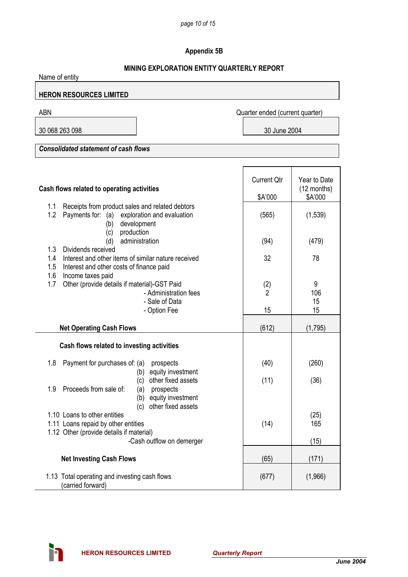# **Appendix 5B**

# **MINING EXPLORATION ENTITY QUARTERLY REPORT**

| Name of entity                                                                                                                                                         |                                 |                                          |  |  |  |
|------------------------------------------------------------------------------------------------------------------------------------------------------------------------|---------------------------------|------------------------------------------|--|--|--|
| <b>HERON RESOURCES LIMITED</b>                                                                                                                                         |                                 |                                          |  |  |  |
| <b>ABN</b>                                                                                                                                                             | Quarter ended (current quarter) |                                          |  |  |  |
| 30 068 263 098                                                                                                                                                         | 30 June 2004                    |                                          |  |  |  |
| <b>Consolidated statement of cash flows</b>                                                                                                                            |                                 |                                          |  |  |  |
|                                                                                                                                                                        |                                 |                                          |  |  |  |
| Cash flows related to operating activities                                                                                                                             | <b>Current Qtr</b><br>\$A'000   | Year to Date<br>$(12$ months)<br>\$A'000 |  |  |  |
| 1.1<br>Receipts from product sales and related debtors                                                                                                                 |                                 |                                          |  |  |  |
| 1.2<br>Payments for: (a) exploration and evaluation<br>development<br>(b)<br>production<br>(c)                                                                         | (565)                           | (1,539)                                  |  |  |  |
| administration<br>(d)                                                                                                                                                  | (94)                            | (479)                                    |  |  |  |
| 1.3<br>Dividends received<br>Interest and other items of similar nature received<br>1.4<br>1.5<br>Interest and other costs of finance paid<br>1.6<br>Income taxes paid | 32                              | 78                                       |  |  |  |
| 1.7<br>Other (provide details if material)-GST Paid<br>- Administration fees<br>- Sale of Data                                                                         | (2)<br>$\mathfrak{p}$           | 9<br>106<br>15                           |  |  |  |
| - Option Fee                                                                                                                                                           | 15                              | 15                                       |  |  |  |
| <b>Net Operating Cash Flows</b>                                                                                                                                        | (612)                           | (1,795)                                  |  |  |  |
| Cash flows related to investing activities                                                                                                                             |                                 |                                          |  |  |  |
| 1.8<br>Payment for purchases of: (a)<br>prospects<br>equity investment                                                                                                 | (40)                            | (260)                                    |  |  |  |
| (b)<br>other fixed assets<br>(c)<br>Proceeds from sale of:<br>1.9<br>prospects<br>(a)<br>equity investment<br>(b)                                                      | (11)                            | (36)                                     |  |  |  |
| other fixed assets<br>(c)                                                                                                                                              |                                 |                                          |  |  |  |
| 1.10 Loans to other entities<br>1.11 Loans repaid by other entities                                                                                                    | (14)                            | (25)<br>165                              |  |  |  |
| 1.12 Other (provide details if material)<br>-Cash outflow on demerger                                                                                                  |                                 | (15)                                     |  |  |  |
| <b>Net Investing Cash Flows</b>                                                                                                                                        | (65)                            | (171)                                    |  |  |  |
| 1.13 Total operating and investing cash flows<br>(carried forward)                                                                                                     | (677)                           | (1,966)                                  |  |  |  |

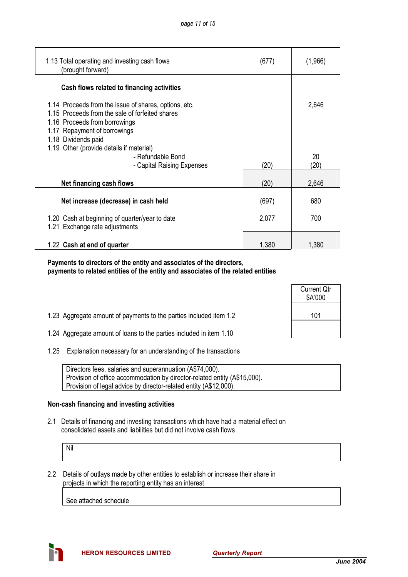| 1.13 Total operating and investing cash flows<br>(brought forward)                                                                                                                               | (677) | (1,966) |
|--------------------------------------------------------------------------------------------------------------------------------------------------------------------------------------------------|-------|---------|
| Cash flows related to financing activities                                                                                                                                                       |       |         |
| 1.14 Proceeds from the issue of shares, options, etc.<br>1.15 Proceeds from the sale of forfeited shares<br>1.16 Proceeds from borrowings<br>1.17 Repayment of borrowings<br>1.18 Dividends paid |       | 2,646   |
| 1.19 Other (provide details if material)<br>- Refundable Bond                                                                                                                                    |       | 20      |
| - Capital Raising Expenses                                                                                                                                                                       | (20)  | (20)    |
| Net financing cash flows                                                                                                                                                                         | (20)  | 2,646   |
| Net increase (decrease) in cash held                                                                                                                                                             | (697) | 680     |
| 1.20 Cash at beginning of quarter/year to date<br>1.21 Exchange rate adjustments                                                                                                                 | 2,077 | 700     |
| 1.22 Cash at end of quarter                                                                                                                                                                      | 1,380 | 1,380   |

## **Payments to directors of the entity and associates of the directors, payments to related entities of the entity and associates of the related entities**

|                                                                     | <b>Current Qtr</b><br>\$A'000 |
|---------------------------------------------------------------------|-------------------------------|
| 1.23 Aggregate amount of payments to the parties included item 1.2  | 101                           |
| 1.24 Aggregate amount of loans to the parties included in item 1.10 |                               |

#### 1.25 Explanation necessary for an understanding of the transactions

| Directors fees, salaries and superannuation (A\$74,000).                  |
|---------------------------------------------------------------------------|
| Provision of office accommodation by director-related entity (A\$15,000). |
| Provision of legal advice by director-related entity (A\$12,000).         |

# **Non-cash financing and investing activities**

 2.1 Details of financing and investing transactions which have had a material effect on consolidated assets and liabilities but did not involve cash flows

Nil

 2.2 Details of outlays made by other entities to establish or increase their share in projects in which the reporting entity has an interest

See attached schedule

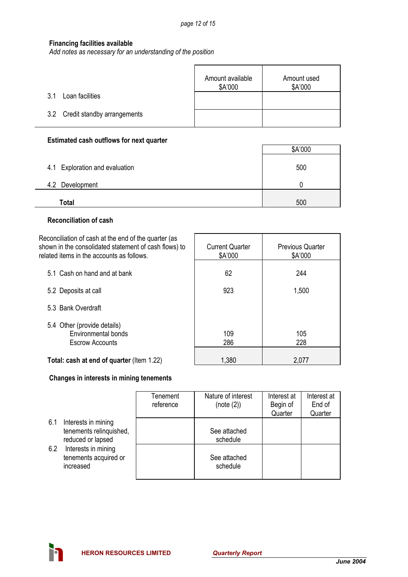# **Financing facilities available**

*Add notes as necessary for an understanding of the position*

|                                 | Amount available<br>\$A'000 | Amount used<br>\$A'000 |
|---------------------------------|-----------------------------|------------------------|
| Loan facilities<br>31           |                             |                        |
| 3.2 Credit standby arrangements |                             |                        |

# **Estimated cash outflows for next quarter**

|                                | \$A'000 |
|--------------------------------|---------|
| 4.1 Exploration and evaluation | 500     |
| 4.2 Development                |         |
| Total                          | 500     |

## **Reconciliation of cash**

Reconciliation of cash at the end of the quarter (as shown in the consolidated statement of cash flows) to related items in the accounts as follows.

| related items in the accounts as follows.                                           | \$A'000    | \$A'000    |
|-------------------------------------------------------------------------------------|------------|------------|
| 5.1 Cash on hand and at bank                                                        | 62         | 244        |
| 5.2 Deposits at call                                                                | 923        | 1,500      |
| 5.3 Bank Overdraft                                                                  |            |            |
| 5.4 Other (provide details)<br><b>Environmental bonds</b><br><b>Escrow Accounts</b> | 109<br>286 | 105<br>228 |
| Total: cash at end of quarter (Item 1.22)                                           | 1,380      | 2,077      |

Current Quarter

Previous Quarter

# **Changes in interests in mining tenements**

|     |                         | Tenement  | Nature of interest | Interest at | Interest at |
|-----|-------------------------|-----------|--------------------|-------------|-------------|
|     |                         | reference | (note (2))         | Begin of    | End of      |
|     |                         |           |                    | Quarter     | Quarter     |
| 6.1 | Interests in mining     |           |                    |             |             |
|     | tenements relinquished, |           | See attached       |             |             |
|     | reduced or lapsed       |           | schedule           |             |             |
| 6.2 | Interests in mining     |           |                    |             |             |
|     | tenements acquired or   |           | See attached       |             |             |
|     | increased               |           | schedule           |             |             |
|     |                         |           |                    |             |             |

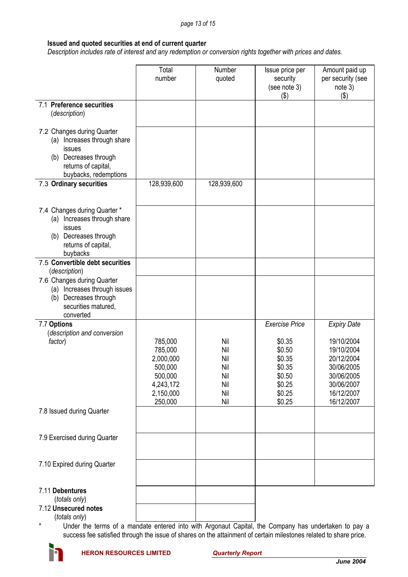## **Issued and quoted securities at end of current quarter**

 *Description includes rate of interest and any redemption or conversion rights together with prices and dates.* 

|                                                                                                                                                 | Total<br>number                                                                            | Number<br>quoted                                     | Issue price per<br>security<br>(see note 3)<br>(3)                                                    | Amount paid up<br>per security (see<br>note 3)<br>$($ \$)                                                                          |
|-------------------------------------------------------------------------------------------------------------------------------------------------|--------------------------------------------------------------------------------------------|------------------------------------------------------|-------------------------------------------------------------------------------------------------------|------------------------------------------------------------------------------------------------------------------------------------|
| 7.1 Preference securities<br>(description)                                                                                                      |                                                                                            |                                                      |                                                                                                       |                                                                                                                                    |
| 7.2 Changes during Quarter<br>(a) Increases through share<br>issues<br>Decreases through<br>(b)<br>returns of capital,<br>buybacks, redemptions |                                                                                            |                                                      |                                                                                                       |                                                                                                                                    |
| 7.3 Ordinary securities                                                                                                                         | 128,939,600                                                                                | 128,939,600                                          |                                                                                                       |                                                                                                                                    |
| 7.4 Changes during Quarter *<br>Increases through share<br>(a)<br>issues<br>(b) Decreases through<br>returns of capital,<br>buybacks            |                                                                                            |                                                      |                                                                                                       |                                                                                                                                    |
| 7.5 Convertible debt securities<br>(description)                                                                                                |                                                                                            |                                                      |                                                                                                       |                                                                                                                                    |
| 7.6 Changes during Quarter<br>(a) Increases through issues<br>Decreases through<br>(b)<br>securities matured,<br>converted                      |                                                                                            |                                                      |                                                                                                       |                                                                                                                                    |
| 7.7 Options<br>(description and conversion<br>factor)                                                                                           | 785,000<br>785,000<br>2,000,000<br>500,000<br>500,000<br>4,243,172<br>2,150,000<br>250,000 | Nil<br>Nil<br>Nil<br>Nil<br>Nil<br>Nil<br>Nil<br>Nil | <b>Exercise Price</b><br>\$0.35<br>\$0.50<br>\$0.35<br>\$0.35<br>\$0.50<br>\$0.25<br>\$0.25<br>\$0.25 | <b>Expiry Date</b><br>19/10/2004<br>19/10/2004<br>20/12/2004<br>30/06/2005<br>30/06/2005<br>30/06/2007<br>16/12/2007<br>16/12/2007 |
| 7.8 Issued during Quarter                                                                                                                       |                                                                                            |                                                      |                                                                                                       |                                                                                                                                    |
| 7.9 Exercised during Quarter                                                                                                                    |                                                                                            |                                                      |                                                                                                       |                                                                                                                                    |
| 7.10 Expired during Quarter                                                                                                                     |                                                                                            |                                                      |                                                                                                       |                                                                                                                                    |
| 7.11 Debentures<br>(totals only)<br>7.12 Unsecured notes                                                                                        |                                                                                            |                                                      |                                                                                                       |                                                                                                                                    |
| $lth the only$                                                                                                                                  |                                                                                            |                                                      |                                                                                                       |                                                                                                                                    |

(*totals only*)

tals only)<br>Under the terms of a mandate entered into with Argonaut Capital, the Company has undertaken to pay a success fee satisfied through the issue of shares on the attainment of certain milestones related to share price.

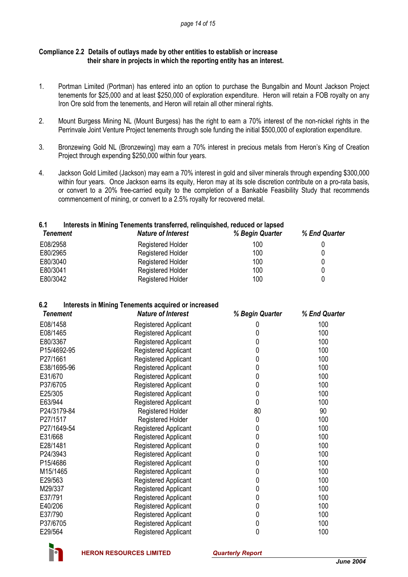## **Compliance 2.2 Details of outlays made by other entities to establish or increase their share in projects in which the reporting entity has an interest.**

- 1. Portman Limited (Portman) has entered into an option to purchase the Bungalbin and Mount Jackson Project tenements for \$25,000 and at least \$250,000 of exploration expenditure. Heron will retain a FOB royalty on any Iron Ore sold from the tenements, and Heron will retain all other mineral rights.
- 2. Mount Burgess Mining NL (Mount Burgess) has the right to earn a 70% interest of the non-nickel rights in the Perrinvale Joint Venture Project tenements through sole funding the initial \$500,000 of exploration expenditure.
- 3. Bronzewing Gold NL (Bronzewing) may earn a 70% interest in precious metals from Heron's King of Creation Project through expending \$250,000 within four years.
- 4. Jackson Gold Limited (Jackson) may earn a 70% interest in gold and silver minerals through expending \$300,000 within four years. Once Jackson earns its equity, Heron may at its sole discretion contribute on a pro-rata basis, or convert to a 20% free-carried equity to the completion of a Bankable Feasibility Study that recommends commencement of mining, or convert to a 2.5% royalty for recovered metal.

# **6.1 Interests in Mining Tenements transferred, relinquished, reduced or lapsed**

| <b>Nature of Interest</b> | % Begin Quarter | % End Quarter |
|---------------------------|-----------------|---------------|
| <b>Registered Holder</b>  | 100             |               |
| <b>Registered Holder</b>  | 100             |               |
| <b>Registered Holder</b>  | 100             |               |
| <b>Registered Holder</b>  | 100             |               |
| <b>Registered Holder</b>  | 100             |               |
|                           |                 |               |

# **6.2 Interests in Mining Tenements acquired or increased**

| <b>Tenement</b> | <b>Nature of Interest</b>   | % Begin Quarter | % End Quarter |
|-----------------|-----------------------------|-----------------|---------------|
| E08/1458        | Registered Applicant        | U               | 100           |
| E08/1465        | <b>Registered Applicant</b> | 0               | 100           |
| E80/3367        | Registered Applicant        | 0               | 100           |
| P15/4692-95     | Registered Applicant        | 0               | 100           |
| P27/1661        | Registered Applicant        | 0               | 100           |
| E38/1695-96     | Registered Applicant        | 0               | 100           |
| E31/670         | Registered Applicant        | 0               | 100           |
| P37/6705        | Registered Applicant        | 0               | 100           |
| E25/305         | <b>Registered Applicant</b> | 0               | 100           |
| E63/944         | Registered Applicant        | 0               | 100           |
| P24/3179-84     | <b>Registered Holder</b>    | 80              | 90            |
| P27/1517        | Registered Holder           | 0               | 100           |
| P27/1649-54     | Registered Applicant        | 0               | 100           |
| E31/668         | <b>Registered Applicant</b> | 0               | 100           |
| E28/1481        | <b>Registered Applicant</b> | 0               | 100           |
| P24/3943        | Registered Applicant        | 0               | 100           |
| P15/4686        | Registered Applicant        | 0               | 100           |
| M15/1465        | Registered Applicant        | 0               | 100           |
| E29/563         | Registered Applicant        | 0               | 100           |
| M29/337         | Registered Applicant        | 0               | 100           |
| E37/791         | Registered Applicant        | 0               | 100           |
| E40/206         | Registered Applicant        | 0               | 100           |
| E37/790         | Registered Applicant        | 0               | 100           |
| P37/6705        | <b>Registered Applicant</b> | 0               | 100           |
| E29/564         | Registered Applicant        | 0               | 100           |